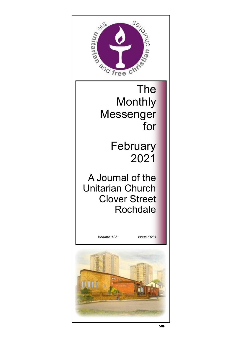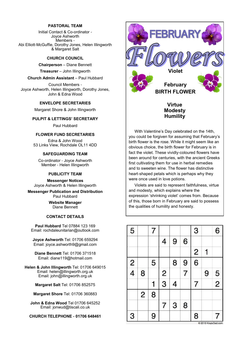#### **PASTORAL TEAM**

Initial Contact & Co-ordinator - Joyce Ashworth Members - Abi Elliott-McGuffie, Dorothy Jones, Helen Illingworth & Margaret Salt

#### **CHURCH COUNCIL**

**Chairperson** – Diane Bennett

**Treasurer** – John Illingworth

#### **Church Admin Assistant** – Paul Hubbard

Council Members - Joyce Ashworth, Helen Illingworth, Dorothy Jones, John & Edna Wood

#### **ENVELOPE SECRETARIES**

Margaret Shore & John Illingworth

#### **PULPIT & LETTINGS' SECRETARY**

Paul Hubbard

#### **FLOWER FUND SECRETARIES**

Edna & John Wood 53 Links View, Rochdale OL11 4DD

#### **SAFEGUARDING TEAM**

Co-ordinator - Joyce Ashworth Member - Helen Illingworth

#### **PUBLICITY TEAM**

**Messenger Notices** Joyce Ashworth & Helen Illingworth

**Messenger Publication and Distribution** Paul Hubbard

> **Website Manager**  Diane Bennett

#### **CONTACT DETAILS**

**Paul Hubbard** Tel 07884 123 169 Email: rochdaleunitarian@outlook.com

**Joyce Ashworth** Tel: 01706 659294 Email: joyce.ashworth9@gmail.com

**Diane Bennett** Tel: 01706 371518 Email: diane119@hotmail.com

**Helen & John Illingworth** Tel: 01706 649015 Email: helen@illingworth.org.uk Email: john@illingworth.org.uk

**Margaret Salt** Tel: 01706 852575

**Margaret Shore** Tel: 01706 360883

**John & Edna Wood** Tel 01706 645252 Email: jonwud@tiscali.co.uk

**CHURCH TELEPHONE - 01706 648461**



With Valentine's Day celebrated on the 14th, you could be forgiven for assuming that February's birth flower is the rose. While it might seem like an obvious choice, the birth flower for February is in fact the violet. These vividly-coloured flowers have been around for centuries, with the ancient Greeks first cultivating them for use in herbal remedies and to sweeten wine. The flower has distinctive heart-shaped petals which is perhaps why they were once used in love potions.

Violets are said to represent faithfulness, virtue and modesty, which explains where the expression 'shrinking violet' comes from. Because of this, those born in February are said to possess the qualities of humility and honesty.

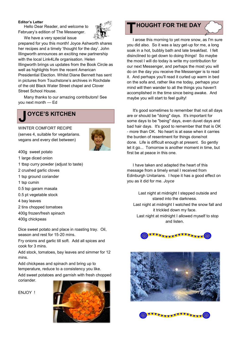#### **Editor's Letter**

Hello Dear Reader, and welcome to February's edition of The Messenger.



We have a very special issue prepared for you this month! Joyce Ashworth shares her recipes and a timely 'thought for the day'. John Illingworth announces an exciting new partnership with the local Link4Life organisation. Helen Illingworth brings us updates from the Book Circle as well as highlights from the recent American Presidential Election. Whilst Diane Bennett has sent in pictures from Touchstone's archives in Rochdale of the old Black Water Street chapel and Clover Street School House.

Many thanks to our amazing contributors! See you next month — Ed



#### WINTER COMFORT RECIPE

(serves 4, suitable for vegetarians. vegans and every diet between)



- 400g sweet potato
- 1 large diced onion
- 1 tbsp curry powder (adjust to taste)
- 2 crushed garlic cloves
- 1 tsp ground coriander
- 1 tsp cumin
- 0.5 tsp garam masala
- 0.5 pt vegetable stock
- 4 bay leaves
- 2 tins chopped tomatoes
- 400g frozen/fresh spinach
- 400g chickpeas

Dice sweet potato and place in roasting tray. Oil, season and rest for 15-20 mins.

Fry onions and garlic till soft. Add all spices and cook for 3 mins.

Add stock, tomatoes, bay leaves and simmer for 12 mins.

Add chickpeas and spinach and bring up to temperature, reduce to a consistency you like. Add sweet potatoes and garnish with fresh chopped coriander.

ENJOY !





I arose this morning to yet more snow, as I'm sure

you did also. So it was a lazy get-up for me, a long soak in a hot, bubbly bath and late breakfast. I felt disinclined to get down to doing things! So maybe the most I will do today is write my contribution for our next Messenger, and perhaps the most you will do on the day you receive the Messenger is to read it. And perhaps you'll read it curled up warm in bed on the sofa and, rather like me today, perhaps your mind will then wander to all the things you haven't accomplished in the time since being awake. And maybe you will start to feel guilty!

It's good sometimes to remember that not all days are or should be "doing" days. It's important for some days to be "being" days, even duvet days and bad hair days. It's good to remember that that is OK - more than OK. No heart is at ease when it carries the burden of resentment for things done/not done. Life is difficult enough at present. So gently let it go... Tomorrow is another moment in time, but first be at peace in this one.

I have taken and adapted the heart of this message from a timely email I received from Edinburgh Unitarians. I hope it has a good effect on you as it did for me. *Joyce*

Last night at midnight I stepped outside and stared into the darkness. Last night at midnight I watched the snow fall and it trickled down my face. Last night at midnight I allowed myself to stop and listen.



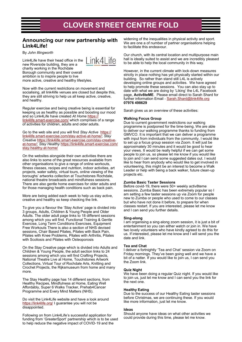# **CLOVER STREET CENTRE FOLD**

### **Announcing our new partnership with Link4Life!**

By *John Illingworth*

Link4Lite

Link4Life have their head office in the new Riverside building, they are a charity working in the Rochdale Borough community and their overall ambition is to inspire people to live more active, creative and healthy lifestyles.

Now with the current restrictions on movement and socialising, all link4life venues are closed but despite this, they are still striving to help us all keep active, creative, and healthy.

Regular exercise and being creative being is essential for keeping us as healthy as possible and boosting our mood and so Link4Life have created *At Home* [https://](https://link4life.smart-exercise.com/) [link4life.smart-exercise.com/](https://link4life.smart-exercise.com/) which comprises of a range of activities for children, adults and older adults.

Go to the web site and you will find *Stay Active* [https://](https://link4life.smart-exercise.com/stay-active-at-home/) [link4life.smart-exercise.com/stay-active-at-home/;](https://link4life.smart-exercise.com/stay-active-at-home/) *Stay Creative* [https://link4life.smart-exercise.com/stay-creative](https://link4life.smart-exercise.com/stay-creative-at-home/)[at-home/;](https://link4life.smart-exercise.com/stay-creative-at-home/) *Stay Healthy* [https://link4life.smart-exercise.com/](https://link4life.smart-exercise.com/stay-healthy-at-home/) [stay-healthy-at-home/](https://link4life.smart-exercise.com/stay-healthy-at-home/)

On the websites alongside their own activities there are also links to some of the great resources available from other organisations to give a range of online workouts, fitness classes, recipes and nutrition, indoor activities, art projects, water safety, virtual tours, online viewing of the boroughs' artworks collection at Touchstones Rochdale, national theatre broadcasts and mindfulness sessions. There are also gentle home exercises for older adults and for those managing health conditions such as back pain.

More are being added each week to help us stay active, creative and healthy so keep checking the link.

To give you a flavour the 'Stay Active' page is divided into 3 groups, Adults, Children & Young People and Older Adults. The older adult page links to 18 different sessions among which you will find. Functional Training & Gentle Exercise, Long Term Conditions Exercises, Equipment Free Workouts There is also a section of NHS devised sessions, Chair Based Pilates, Pilates with Back Pain, Pilates with Knee Problems, Pilates with Arthritis, Pilates with Scoliosis and Pilates with Osteoporosis

On the Stay Creative page which is divided into Adults and Children & Young People, the adult section links to 24 sessions among which you will find Crafting Projects, National Theatre Live at Home, Touchstones Artwork Collections, Virtual Tour of Rochdale Arts, Knitting and Crochet Projects, the Rijksmuseum from home and many more.

The Stay Healthy page has 14 different sections, from Healthy Recipes, Mindfulness at Home, Eating Well Affordably, Super 6 Walks Tracker, Prehab4Cancer Programme and Every Mind Matters (NHS).

Do visit the Link4Life website and have a look around <https://link4life.org/> I guarantee you will not be disappointed.

Following on from Link4Life's successful application for funding from 'GreaterSport' partnership which is to be used to help reduce the negative impact of COVID-19 and the

widening of the inequalities in physical activity and sport. We are one a of number of partner organisations helping to facilitate this endeavour.

Our church, with its central location and multipurpose main hall is ideally suited to assist and we are incredibly pleased to be able to help the local community in this way.

However, in the current climate with lock-down measures strictly in place nothing has yet physically started within our building. So rather than stand still L4L is actively developing online groups and activities. We have agreed to help promote these sessions. You can also stay up to date with what we are doing by 'Liking' the L4L Facebook page, **Activ8teME**. Please email direct to Sarah Shard for further information Email - [Sarah.Shard@link4life.org](mailto:sarah.shard@link4life.org) **07976 498629**

Sarah gives us an overview of these activities:

#### **Walking Focus Group**

Due to current government restrictions our walking programme is postponed for the time-being. We are able to deliver our walking programme thanks to funding from GMVCO. It is important that we can deliver a programme with input from individuals from the community. I would like to set up a focus group session via Zoom. It will just be approximately 30 minutes and it would be good to hear your views. It would be really helpful if we can get some people to join us, so please let me know if you would like to join and I can send some suggested dates out. I would like to hear from anybody who would like to get involved in volunteering, this might be an interest to become a Walk Leader or help with being a back walker, future clean-up projects etc.

#### **Zumba Basic Taster Sessions**

Before covid-19, there were 50+ weekly activ8teme sessions. Zumba Basic has been extremely popular so I am setting a few taster sessions up via Zoom for people new to Zumba or people who used to come to our classes but who have not done it before, to prepare for when classes restart. If you are interested, please let me know and I can send you further details.

#### **Sing-along**

I am organising a sing-along zoom session, it is just a bit of entertainment so you can either watch or join in. We have two lovely volunteers who have kindly agreed to do this for us. If interested, please let me know and I will send you the date and link.

#### **Tea and Chat**

I deliver a fortnightly 'Tea and Chat' session via Zoom on Friday mornings. They've been going well and we have a bit of a natter. If you would like to join us, I can send you the Zoom link.

#### **Quiz Night**

We have been doing a regular Quiz night. If you would like to join us, just let me know and I can send you the link for the next one.

#### **Healthy Eating**

Due to the success of our Healthy Eating taster sessions before Christmas, we are continuing these. If you would like more information, just let me know.

#### **Ideas**

Should anyone have ideas on what other activities we could provide during this time, please let me know.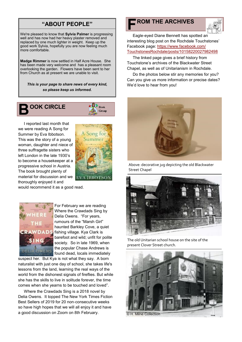## **"ABOUT PEOPLE"**

We're pleased to know that **Sylvia Palmer** is progressing well and has now had her heavy plaster removed and replaced by one much lighter in weight. Keep up the good work Sylvia, hopefully you are now feeling much more comfortable.

**Madge Rimmer** is now settled in Half Acre House. She has been made very welcome and has a pleasant room overlooking the garden. Flowers have been sent to her from Church as at present we are unable to visit.

*This is your page to share news of every kind, so please keep us informed.*

## **B OOK CIRCLE**



Song to

A IBBOTSO

I reported last month that we were reading A Song for Summer by Eva Ibbotson. This was the story of a young woman, daughter and niece of three suffragette sisters who left London in the late 1930's to become a housekeeper at a progressive school in Austria. The book brought plenty of material for discussion and we thoroughly enjoyed it and

would recommend it as a good read.



For February we are reading Where the Crawdads Sing by Delia Owens. "For years, rumours of the "Marsh Girl" haunted Barkley Cove, a quiet fishing village. Kya Clark is barefoot and wild; unfit for polite society. So in late 1969, when the popular Chase Andrews is found dead, locals immediately

suspect her. But Kya is not what they say. A born naturalist with just one day of school, she takes life's lessons from the land, learning the real ways of the world from the dishonest signals of fireflies. But while she has the skills to live in solitude forever, the time comes when she yearns to be touched and loved".

Where the Crawdads Sing is a 2018 novel by Delia Owens. It topped The New York Times Fiction Best Sellers of 2019 for 20 non-consecutive weeks so have high hopes that we will all enjoy it and have a good discussion on Zoom on 8th February.

## **F ROM THE ARCHIVES**



Eagle-eyed Diane Bennett has spotted an interesting blog post on the Rochdale Touchstones' Facebook page: [https://www.facebook.com/](https://www.facebook.com/TouchstonesRochdale/posts/10158220027982498) [TouchstonesRochdale/posts/10158220027982498](https://www.facebook.com/TouchstonesRochdale/posts/10158220027982498)

The linked page gives a brief history from Touchstone's archives of the Blackwater Street Chapel, as well as of Unitarianism in Rochdale.

Do the photos below stir any memories for you? Can you give us more information or precise dates? We'd love to hear from you!



Above: decorative jug depicting the old Blackwater Street Chapel



The old Unitarian school house on the site of the present Clover Street church.

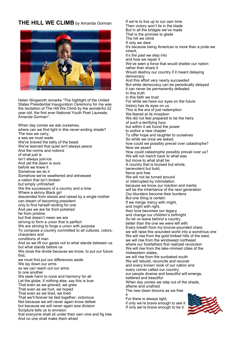### **THE HILL WE CLIMB** by Amanda Gorman



Helen Illingworth remarks "The highlight of the United States Presidential Inauguration Ceremony for me was the recitation of The Hill We Climb by the wonderful 22 year old, the first ever National Youth Poet Laureate, Amanda Gorman":

When day comes we ask ourselves,

where can we find light in this never-ending shade? The loss we carry, a sea we must wade We've braved the belly of the beast We've learned that quiet isn't always peace And the norms and notions of what just is Isn't always just-ice And yet the dawn is ours before we knew it Somehow we do it Somehow we've weathered and witnessed a nation that isn't broken but simply unfinished We the successors of a country and a time Where a skinny Black girl descended from slaves and raised by a single mother can dream of becoming president only to find herself reciting for one And yes we are far from polished far from pristine but that doesn't mean we are striving to form a union that is perfect We are striving to forge a union with purpose To compose a country committed to all cultures, colors, characters and conditions of man And so we lift our gazes not to what stands between us but what stands before us We close the divide because we know, to put our future first, we must first put our differences aside We lay down our arms so we can reach out our arms to one another We seek harm to none and harmony for all Let the globe, if nothing else, say this is true: That even as we grieved, we grew That even as we hurt, we hoped That even as we tired, we tried That we'll forever be tied together, victorious Not because we will never again know defeat but because we will never again sow division Scripture tells us to envision that everyone shall sit under their own vine and fig tree And no one shall make them afraid

If we're to live up to our own time Then victory won't lie in the blade But in all the bridges we've made That is the promise to glade The hill we climb If only we dare It's because being American is more than a pride we inherit, it's the past we step into and how we repair it We've seen a force that would shatter our nation rather than share it Would destroy our country if it meant delaying democracy And this effort very nearly succeeded But while democracy can be periodically delayed it can never be permanently defeated In this truth in this faith we trust For while we have our eyes on the future history has its eyes on us This is the era of just redemption We feared at its inception We did not feel prepared to be the heirs of such a terrifying hour but within it we found the power to author a new chapter To offer hope and laughter to ourselves So while we once we asked, how could we possibly prevail over catastrophe? Now we assert How could catastrophe possibly prevail over us? We will not march back to what was but move to what shall be A country that is bruised but whole, benevolent but bold, fierce and free We will not be turned around or interrupted by intimidation because we know our inaction and inertia will be the inheritance of the next generation Our blunders become their burdens But one thing is certain: If we merge mercy with might, and might with right, then love becomes our legacy and change our children's birthright So let us leave behind a country better than the one we were left with Every breath from my bronze-pounded chest, we will raise this wounded world into a wondrous one We will rise from the gold-limbed hills of the west, we will rise from the windswept northeast where our forefathers first realized revolution We will rise from the lake-rimmed cities of the midwestern states, we will rise from the sunbaked south We will rebuild, reconcile and recover and every known nook of our nation and every corner called our country, our people diverse and beautiful will emerge, battered and beautiful When day comes we step out of the shade, aflame and unafraid The new dawn blooms as we free it For there is always light, if only we're brave enough to see it If only we're brave enough to be it.